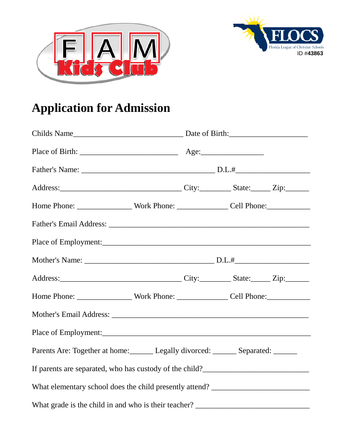



# **Application for Admission**

| Home Phone: Work Phone: Cell Phone:                                               |  |  |
|-----------------------------------------------------------------------------------|--|--|
|                                                                                   |  |  |
|                                                                                   |  |  |
|                                                                                   |  |  |
| Address: <u>City: State: Zip:</u>                                                 |  |  |
| Home Phone: Work Phone: Cell Phone:                                               |  |  |
|                                                                                   |  |  |
|                                                                                   |  |  |
| Parents Are: Together at home: Legally divorced: ______ Separated: ______         |  |  |
| If parents are separated, who has custody of the child?__________________________ |  |  |
| What elementary school does the child presently attend? _________________________ |  |  |
|                                                                                   |  |  |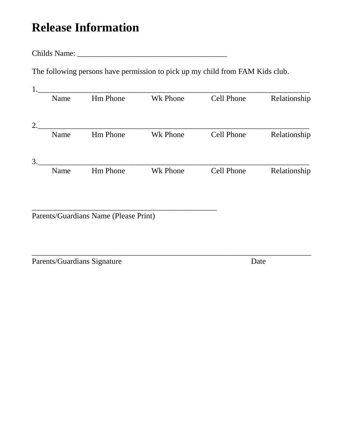# **Release Information**

Childs Name: \_\_\_\_\_\_\_\_\_\_\_\_\_\_\_\_\_\_\_\_\_\_\_\_\_\_\_\_\_\_\_\_\_\_\_\_\_\_

The following persons have permission to pick up my child from FAM Kids club.

|    | Name | <b>Hm Phone</b> | Wk Phone | Cell Phone | Relationship |
|----|------|-----------------|----------|------------|--------------|
| 2. |      |                 |          |            |              |
|    | Name | <b>Hm Phone</b> | Wk Phone | Cell Phone | Relationship |
| 3. |      |                 |          |            |              |
|    | Name | <b>Hm Phone</b> | Wk Phone | Cell Phone | Relationship |

\_\_\_\_\_\_\_\_\_\_\_\_\_\_\_\_\_\_\_\_\_\_\_\_\_\_\_\_\_\_\_\_\_\_\_\_\_\_\_\_\_\_\_\_\_\_\_\_\_\_\_\_\_\_\_\_\_\_\_\_\_\_\_\_\_\_\_\_\_\_\_

Parents/Guardians Name (Please Print)

\_\_\_\_\_\_\_\_\_\_\_\_\_\_\_\_\_\_\_\_\_\_\_\_\_\_\_\_\_\_\_\_\_\_\_\_\_\_\_\_\_\_\_\_\_\_\_

Parents/Guardians Signature Date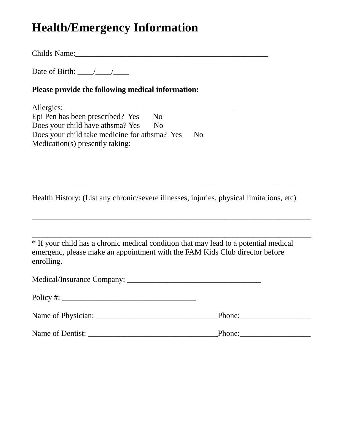## **Health/Emergency Information**

Childs Name:

Date of Birth:  $\frac{\sqrt{2}}{2}$ 

#### **Please provide the following medical information:**

| Allergies:                                    |                |     |  |
|-----------------------------------------------|----------------|-----|--|
| Epi Pen has been prescribed? Yes              | N <sub>0</sub> |     |  |
| Does your child have athsma? Yes              | No.            |     |  |
| Does your child take medicine for athsma? Yes |                | No. |  |
| Medication(s) presently taking:               |                |     |  |

Health History: (List any chronic/severe illnesses, injuries, physical limitations, etc)

\_\_\_\_\_\_\_\_\_\_\_\_\_\_\_\_\_\_\_\_\_\_\_\_\_\_\_\_\_\_\_\_\_\_\_\_\_\_\_\_\_\_\_\_\_\_\_\_\_\_\_\_\_\_\_\_\_\_\_\_\_\_\_\_\_\_\_\_\_\_\_

\_\_\_\_\_\_\_\_\_\_\_\_\_\_\_\_\_\_\_\_\_\_\_\_\_\_\_\_\_\_\_\_\_\_\_\_\_\_\_\_\_\_\_\_\_\_\_\_\_\_\_\_\_\_\_\_\_\_\_\_\_\_\_\_\_\_\_\_\_\_\_

\_\_\_\_\_\_\_\_\_\_\_\_\_\_\_\_\_\_\_\_\_\_\_\_\_\_\_\_\_\_\_\_\_\_\_\_\_\_\_\_\_\_\_\_\_\_\_\_\_\_\_\_\_\_\_\_\_\_\_\_\_\_\_\_\_\_\_\_\_\_\_

\* If your child has a chronic medical condition that may lead to a potential medical emergenc, please make an appointment with the FAM Kids Club director before enrolling.

Medical/Insurance Company: \_\_\_\_\_\_\_\_\_\_\_\_\_\_\_\_\_\_\_\_\_\_\_\_\_\_\_\_\_\_\_\_\_\_

| Policy<br>and the contract of the contract of<br>$\sim$ $ \sim$ |  |
|-----------------------------------------------------------------|--|
|                                                                 |  |

| Name of Physician: | Phone: |  |
|--------------------|--------|--|
|--------------------|--------|--|

| Name of Dentist:<br>Phone: |  |
|----------------------------|--|
|----------------------------|--|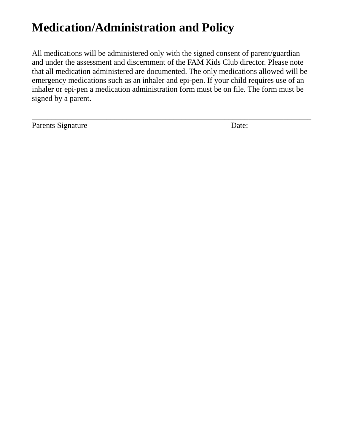# **Medication/Administration and Policy**

All medications will be administered only with the signed consent of parent/guardian and under the assessment and discernment of the FAM Kids Club director. Please note that all medication administered are documented. The only medications allowed will be emergency medications such as an inhaler and epi-pen. If your child requires use of an inhaler or epi-pen a medication administration form must be on file. The form must be signed by a parent.

\_\_\_\_\_\_\_\_\_\_\_\_\_\_\_\_\_\_\_\_\_\_\_\_\_\_\_\_\_\_\_\_\_\_\_\_\_\_\_\_\_\_\_\_\_\_\_\_\_\_\_\_\_\_\_\_\_\_\_\_\_\_\_\_\_\_\_\_\_\_\_

Parents Signature Date: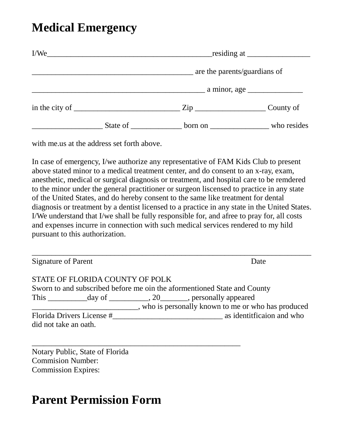### **Medical Emergency**

| I/We |          |                                                                                                                                                                                        |             |  |
|------|----------|----------------------------------------------------------------------------------------------------------------------------------------------------------------------------------------|-------------|--|
|      |          | are the parents/guardians of                                                                                                                                                           |             |  |
|      |          |                                                                                                                                                                                        |             |  |
|      |          | in the city of $\_\_\_\_\_\_\_\_\_\_\_\_\_\_$ $\_\_\_\_\_\_\_\_\_\_$ $\_\_\_\_\_\_\_\_\_$ $\_\_\_\_\_\_\_\_\_$ $\_\_\_\_\_\_$ $\_\_\_\_\_$ $\_\_\_\_\_$ $\_\_\_\_\_$ $\_\_\_\_$ $\_\_$ |             |  |
|      | State of | born on                                                                                                                                                                                | who resides |  |

with me.us at the address set forth above.

In case of emergency, I/we authorize any representative of FAM Kids Club to present above stated minor to a medical treatment center, and do consent to an x-ray, exam, anesthetic, medical or surgical diagnosis or treatment, and hospital care to be remdered to the minor under the general practitioner or surgeon liscensed to practice in any state of the United States, and do hereby consent to the same like treatment for dental diagnosis or treatment by a dentist licensed to a practice in any state in the United States. I/We understand that I/we shall be fully responsible for, and afree to pray for, all costs and expenses incurre in connection with such medical services rendered to my hild pursuant to this authorization.

| Signature of Parent   |                                 | Date                                                                     |
|-----------------------|---------------------------------|--------------------------------------------------------------------------|
|                       | STATE OF FLORIDA COUNTY OF POLK |                                                                          |
|                       |                                 | Sworn to and subscribed before me oin the aformentioned State and County |
|                       |                                 |                                                                          |
|                       |                                 | _, who is personally known to me or who has produced                     |
|                       | Florida Drivers License #       | as identification and who                                                |
| did not take an oath. |                                 |                                                                          |

\_\_\_\_\_\_\_\_\_\_\_\_\_\_\_\_\_\_\_\_\_\_\_\_\_\_\_\_\_\_\_\_\_\_\_\_\_\_\_\_\_\_\_\_\_\_\_\_\_\_\_\_\_

Notary Public, State of Florida Commision Number: Commission Expires:

### **Parent Permission Form**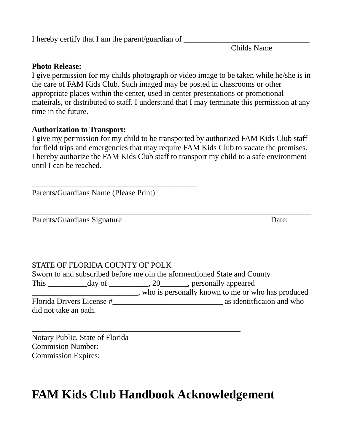#### I hereby certify that I am the parent/guardian of \_\_\_\_\_\_\_\_\_\_\_\_\_\_\_\_\_\_\_\_\_\_\_\_\_\_\_\_\_\_\_

Childs Name

### **Photo Release:**

I give permission for my childs photograph or video image to be taken while he/she is in the care of FAM Kids Club. Such imaged may be posted in classrooms or other appropriate places within the center, used in center presentations or promotional mateirals, or distributed to staff. I understand that I may terminate this permission at any time in the future.

### **Authorization to Transport:**

I give my permission for my child to be transported by authorized FAM Kids Club staff for field trips and emergencies that may require FAM Kids Club to vacate the premises. I hereby authorize the FAM Kids Club staff to transport my child to a safe environment until I can be reached.

\_\_\_\_\_\_\_\_\_\_\_\_\_\_\_\_\_\_\_\_\_\_\_\_\_\_\_\_\_\_\_\_\_\_\_\_\_\_\_\_\_\_\_\_\_\_\_\_\_\_\_\_\_\_\_\_\_\_\_\_\_\_\_\_\_\_\_\_\_\_\_

\_\_\_\_\_\_\_\_\_\_\_\_\_\_\_\_\_\_\_\_\_\_\_\_\_\_\_\_\_\_\_\_\_\_\_\_\_\_\_\_\_\_ Parents/Guardians Name (Please Print)

Parents/Guardians Signature Date:

### STATE OF FLORIDA COUNTY OF POLK

Sworn to and subscribed before me oin the aformentioned State and County This \_\_\_\_\_\_\_\_\_\_day of \_\_\_\_\_\_\_\_\_\_, 20\_\_\_\_\_\_\_, personally appeared who is personally known to me or who has produced Florida Drivers License #\_\_\_\_\_\_\_\_\_\_\_\_\_\_\_\_\_\_\_\_\_\_\_\_\_\_\_\_ as identitficaion and who did not take an oath.

Notary Public, State of Florida Commision Number: Commission Expires:

## **FAM Kids Club Handbook Acknowledgement**

\_\_\_\_\_\_\_\_\_\_\_\_\_\_\_\_\_\_\_\_\_\_\_\_\_\_\_\_\_\_\_\_\_\_\_\_\_\_\_\_\_\_\_\_\_\_\_\_\_\_\_\_\_